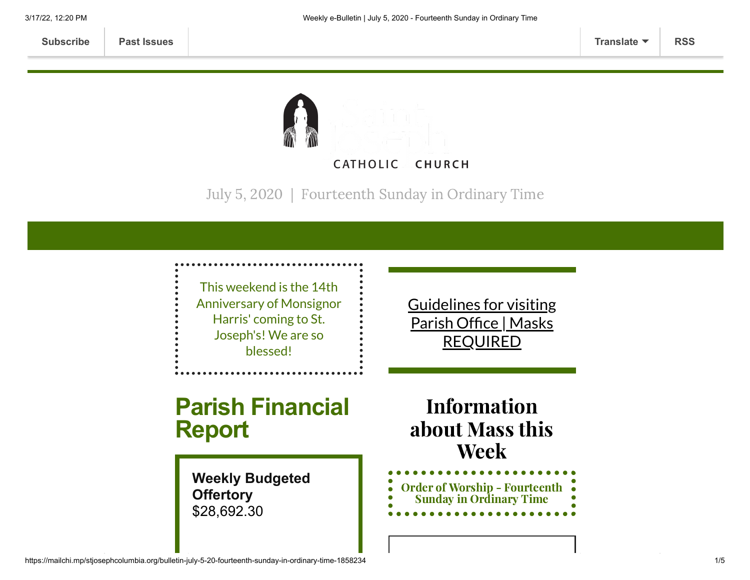

July 5, 2020 | Fourteenth Sunday in Ordinary Time

This weekend is the 14th Anniversary of Monsignor Harris' coming to St. Joseph's! We are so blessed!

Guidelines for visiting Parish Office | Masks [REQUIRED](https://www.stjosephcolumbia.org/church-and-parish-office-hours)

# **Parish Financial Report**

**Weekly Budgeted Offertory** \$28,692.30

Information about Mass this Week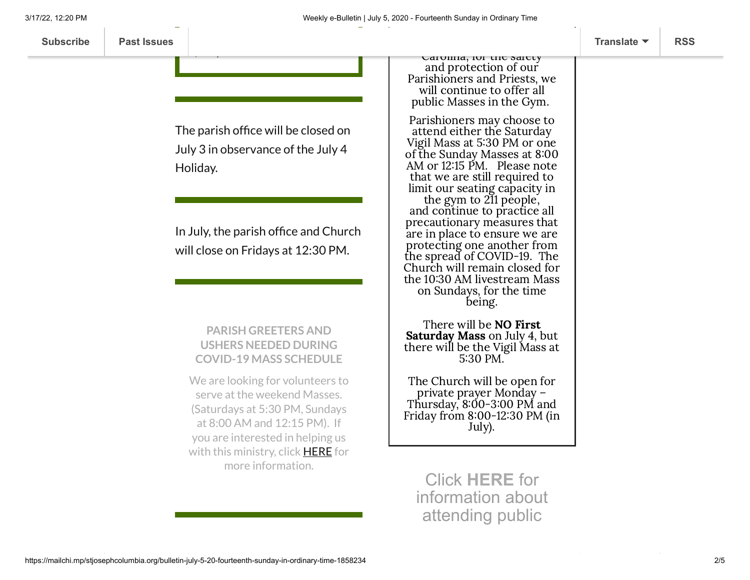| The parish office will be closed on |
|-------------------------------------|
| July 3 in observance of the July 4  |
| Holiday.                            |

 $\ddot{x}$ 

In July, the parish office and Church will close on Fridays at 12:30 PM.

#### **PARISH GREETERS AND USHERS NEEDED DURING COVID-19 MASS SCHEDULE**

We are looking for volunteers to serve at the weekend Masses. (Saturdays at 5:30 PM, Sundays at 8:00 AM and 12:15 PM). If you are interested in helping us with this ministry, click **[HERE](https://www.stjosephcolumbia.org/parish-greeters-ushers-signup)** for more information.

Carolina, for the safety and protection of our Parishioners and Priests, we will continue to offer all public Masses in the Gym.

Parishioners may choose to attend either the Saturday Vigil Mass at 530 PM or one of the Sunday Masses at 8:00 AM or 12:15 PM. Please note that we are still required to limit our seating capacity in the gym to 211 people,

and continue to practice all precautionary measures that are in place to ensure we are protecting one another from the spread of COVID-19. The Church will remain closed for the 10:30 AM livestream Mass on Sundays, for the time being.

There will be NO First Saturday Mass on July 4, but there will be the Vigil Mass at 530 PM.

The Church will be open for private prayer Monday – Thursday,  $8:00-3:00 \text{ PM}$  and Friday from  $8:00-12:30$  PM (in July).

Click **[HERE](https://www.stjosephcolumbia.org/resuming-public-masses)** for information about attending public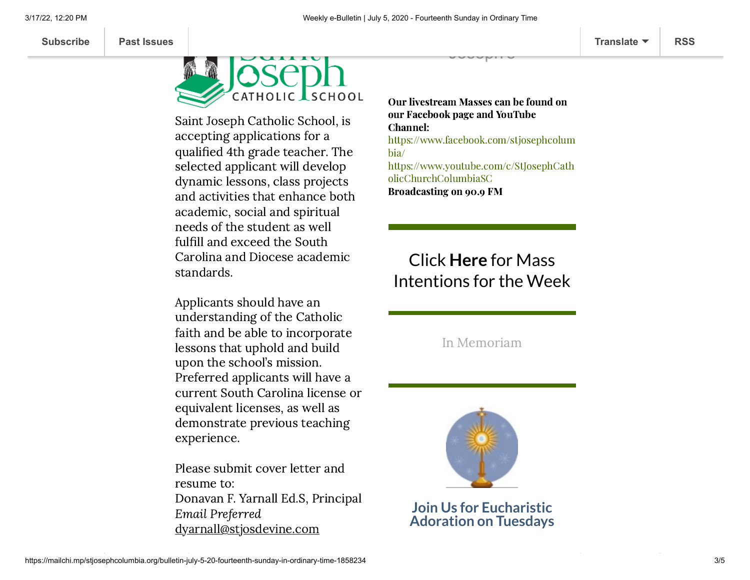

Saint Joseph Catholic School, is accepting applications for a qualified 4th grade teacher. The selected applicant will develop dynamic lessons, class projects and activities that enhance both academic, social and spiritual needs of the student as well fulfill and exceed the South Carolina and Diocese academic standards.

Applicants should have an understanding of the Catholic faith and be able to incorporate lessons that uphold and build upon the school's mission. Preferred applicants will have a current South Carolina license or equivalent licenses, as well as demonstrate previous teaching experience.

Please submit cover letter and resume to: Donavan F. Yarnall Ed.S, Principal Email Preferred [dyarnall@stjosdevine.com](mailto:dyarnall@stjosdevine.com)

Our livestream Masses can be found on our Facebook page and YouTube Channel: [https://www.facebook.com/stjosephcolum](https://www.facebook.com/stjosephcolumbia/) bia/ [https://www.youtube.com/c/StJosephCath](https://www.youtube.com/c/StJosephCatholicChurchColumbiaSC) olicChurchColumbiaSC Broadcasting on 90.9 FM

Joseph's

## Click **Here** for Mass [Intentions for](https://www.stjosephcolumbia.org/mass-intentions) the Week

In [Memoriam](https://www.stjosephcolumbia.org/in-memoriam)



**Join Us for Eucharistic Adoration on Tuesdays**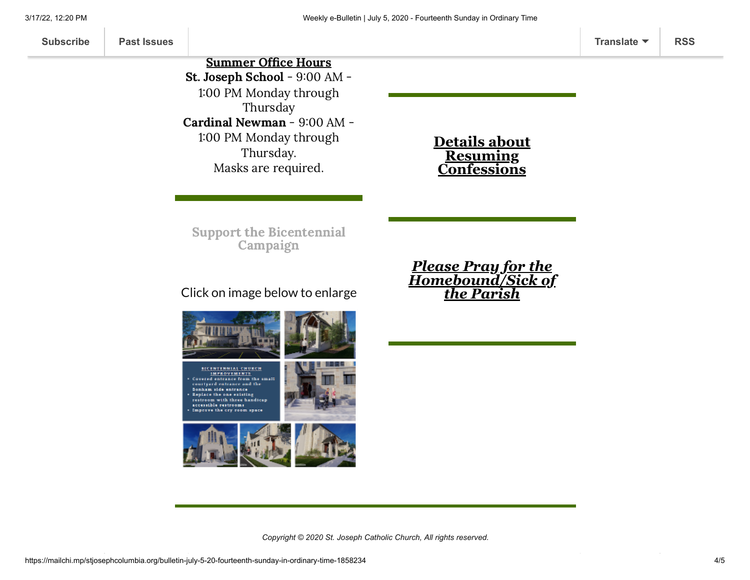**[Subscribe](http://eepurl.com/ded6Lz) [Past Issues](https://us9.campaign-archive.com/home/?u=7399f6b35c8ab775fb1714c3d&id=770b4a80d3) [Translate](javascript:;) [RSS](https://us9.campaign-archive.com/feed?u=7399f6b35c8ab775fb1714c3d&id=770b4a80d3)**

Summer Office Hours St. Joseph School - 9:00 AM - 1:00 PM Monday through

Thursday Cardinal Newman - 9:00 AM - 1:00 PM Monday through

> Thursday. Masks are required.

### **Details about Resuming [Confessions](https://www.stjosephcolumbia.org/confessions)**

*Please Pray for the [Homebound/Sick of](https://www.stjosephcolumbia.org/pray-for-the-homebound-sick-of-pari) the Parish*

Support the [Bicentennial](https://www.stjosephcolumbia.org/bicentennial-campaign) Campaign

### Click on image below to enlarge



**SICENTENNIAL CHURCH** IMPROVEMENTS courtyard entrance and the Bonham side entrance<br>Replace the one existing restroom with three handicap accessible restrooms Improve the cry room space





*Copyright © 2020 St. Joseph Catholic Church, All rights reserved.*